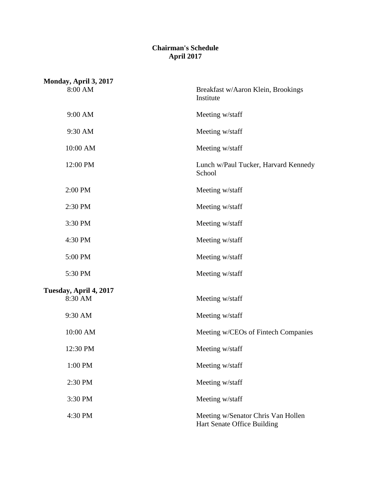### **Chairman's Schedule April 2017**

| Monday, April 3, 2017             |                                                                   |
|-----------------------------------|-------------------------------------------------------------------|
| 8:00 AM                           | Breakfast w/Aaron Klein, Brookings<br>Institute                   |
| 9:00 AM                           | Meeting w/staff                                                   |
| 9:30 AM                           | Meeting w/staff                                                   |
| 10:00 AM                          | Meeting w/staff                                                   |
| 12:00 PM                          | Lunch w/Paul Tucker, Harvard Kennedy<br>School                    |
| 2:00 PM                           | Meeting w/staff                                                   |
| 2:30 PM                           | Meeting w/staff                                                   |
| 3:30 PM                           | Meeting w/staff                                                   |
| 4:30 PM                           | Meeting w/staff                                                   |
| 5:00 PM                           | Meeting w/staff                                                   |
| 5:30 PM                           | Meeting w/staff                                                   |
| Tuesday, April 4, 2017<br>8:30 AM | Meeting w/staff                                                   |
| 9:30 AM                           | Meeting w/staff                                                   |
| 10:00 AM                          | Meeting w/CEOs of Fintech Companies                               |
| 12:30 PM                          | Meeting w/staff                                                   |
| 1:00 PM                           | Meeting w/staff                                                   |
| 2:30 PM                           | Meeting w/staff                                                   |
| 3:30 PM                           | Meeting w/staff                                                   |
| 4:30 PM                           | Meeting w/Senator Chris Van Hollen<br>Hart Senate Office Building |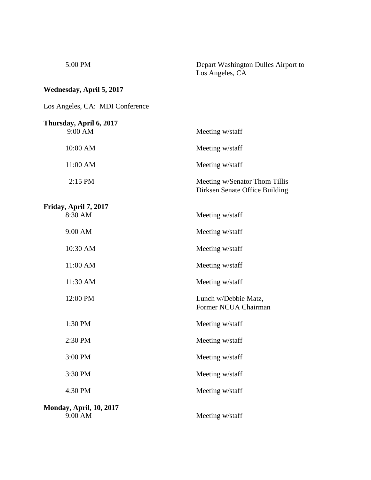| Depart Washington Dulles Airport to |
|-------------------------------------|
| Los Angeles, CA                     |
|                                     |

## **Wednesday, April 5, 2017**

 $5:00$  PM

Los Angeles, CA: MDI Conference

| Thursday, April 6, 2017<br>9:00 AM        | Meeting w/staff                                                 |
|-------------------------------------------|-----------------------------------------------------------------|
| 10:00 AM                                  | Meeting w/staff                                                 |
| 11:00 AM                                  | Meeting w/staff                                                 |
| 2:15 PM                                   | Meeting w/Senator Thom Tillis<br>Dirksen Senate Office Building |
| Friday, April 7, 2017<br>8:30 AM          | Meeting w/staff                                                 |
| 9:00 AM                                   | Meeting w/staff                                                 |
| 10:30 AM                                  | Meeting w/staff                                                 |
| 11:00 AM                                  | Meeting w/staff                                                 |
| 11:30 AM                                  | Meeting w/staff                                                 |
| 12:00 PM                                  | Lunch w/Debbie Matz,<br>Former NCUA Chairman                    |
| 1:30 PM                                   | Meeting w/staff                                                 |
| 2:30 PM                                   | Meeting w/staff                                                 |
| 3:00 PM                                   | Meeting w/staff                                                 |
| 3:30 PM                                   | Meeting w/staff                                                 |
| 4:30 PM                                   | Meeting w/staff                                                 |
| <b>Monday, April, 10, 2017</b><br>9:00 AM | Meeting w/staff                                                 |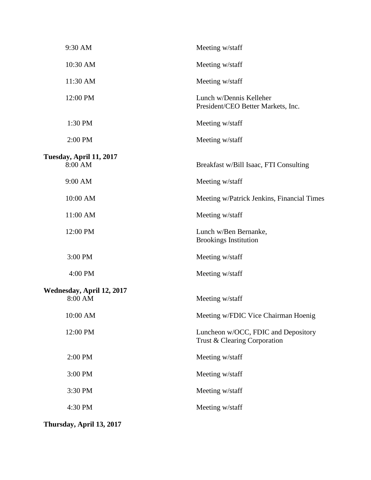| 9:30 AM                              | Meeting w/staff                                                     |
|--------------------------------------|---------------------------------------------------------------------|
| 10:30 AM                             | Meeting w/staff                                                     |
| 11:30 AM                             | Meeting w/staff                                                     |
| 12:00 PM                             | Lunch w/Dennis Kelleher<br>President/CEO Better Markets, Inc.       |
| 1:30 PM                              | Meeting w/staff                                                     |
| 2:00 PM                              | Meeting w/staff                                                     |
| Tuesday, April 11, 2017<br>8:00 AM   | Breakfast w/Bill Isaac, FTI Consulting                              |
| 9:00 AM                              | Meeting w/staff                                                     |
| 10:00 AM                             | Meeting w/Patrick Jenkins, Financial Times                          |
| 11:00 AM                             | Meeting w/staff                                                     |
| 12:00 PM                             | Lunch w/Ben Bernanke,<br><b>Brookings Institution</b>               |
| 3:00 PM                              | Meeting w/staff                                                     |
| 4:00 PM                              | Meeting w/staff                                                     |
| Wednesday, April 12, 2017<br>8:00 AM | Meeting w/staff                                                     |
| 10:00 AM                             | Meeting w/FDIC Vice Chairman Hoenig                                 |
| 12:00 PM                             | Luncheon w/OCC, FDIC and Depository<br>Trust & Clearing Corporation |
| 2:00 PM                              | Meeting w/staff                                                     |
| 3:00 PM                              | Meeting w/staff                                                     |
| 3:30 PM                              | Meeting w/staff                                                     |
| 4:30 PM                              | Meeting w/staff                                                     |
|                                      |                                                                     |

**Thursday, April 13, 2017**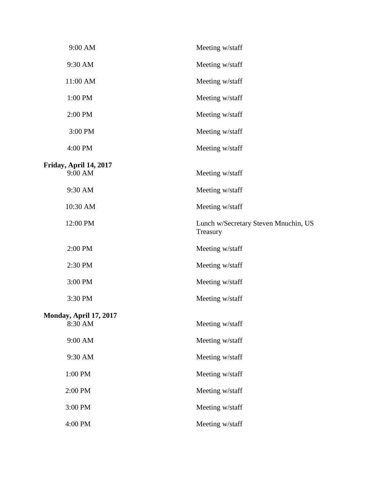| 9:00 AM                       | Meeting w/staff                                  |
|-------------------------------|--------------------------------------------------|
| 9:30 AM                       | Meeting w/staff                                  |
| 11:00 AM                      | Meeting w/staff                                  |
| 1:00 PM                       | Meeting w/staff                                  |
| 2:00 PM                       | Meeting w/staff                                  |
| 3:00 PM                       | Meeting w/staff                                  |
| 4:00 PM                       | Meeting w/staff                                  |
| Friday, April 14, 2017        |                                                  |
| 9:00 AM                       | Meeting w/staff                                  |
| 9:30 AM                       | Meeting w/staff                                  |
| 10:30 AM                      | Meeting w/staff                                  |
| 12:00 PM                      | Lunch w/Secretary Steven Mnuchin, US<br>Treasury |
| 2:00 PM                       | Meeting w/staff                                  |
| 2:30 PM                       | Meeting w/staff                                  |
| 3:00 PM                       | Meeting w/staff                                  |
| 3:30 PM                       | Meeting w/staff                                  |
| <b>Monday, April 17, 2017</b> |                                                  |
| 8:30 AM                       | Meeting w/staff                                  |
| 9:00 AM                       | Meeting w/staff                                  |
| 9:30 AM                       | Meeting w/staff                                  |
| 1:00 PM                       | Meeting w/staff                                  |
| 2:00 PM                       | Meeting w/staff                                  |
| 3:00 PM                       | Meeting w/staff                                  |
| 4:00 PM                       | Meeting w/staff                                  |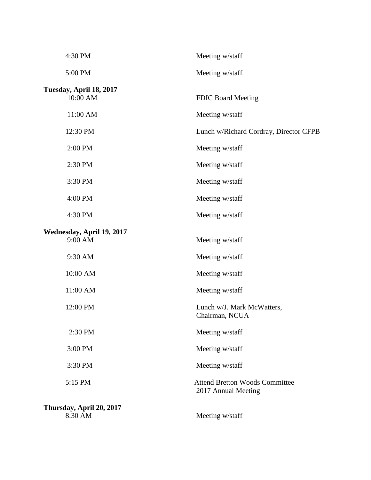| 4:30 PM                              | Meeting w/staff                                              |
|--------------------------------------|--------------------------------------------------------------|
| 5:00 PM                              | Meeting w/staff                                              |
| Tuesday, April 18, 2017<br>10:00 AM  | <b>FDIC Board Meeting</b>                                    |
| 11:00 AM                             | Meeting w/staff                                              |
| 12:30 PM                             | Lunch w/Richard Cordray, Director CFPB                       |
| 2:00 PM                              | Meeting w/staff                                              |
| 2:30 PM                              | Meeting w/staff                                              |
| 3:30 PM                              | Meeting w/staff                                              |
| 4:00 PM                              | Meeting w/staff                                              |
| 4:30 PM                              | Meeting w/staff                                              |
| Wednesday, April 19, 2017<br>9:00 AM | Meeting w/staff                                              |
| 9:30 AM                              | Meeting w/staff                                              |
| 10:00 AM                             | Meeting w/staff                                              |
| 11:00 AM                             | Meeting w/staff                                              |
| 12:00 PM                             | Lunch w/J. Mark McWatters,<br>Chairman, NCUA                 |
| 2:30 PM                              | Meeting w/staff                                              |
| 3:00 PM                              | Meeting w/staff                                              |
| 3:30 PM                              | Meeting w/staff                                              |
| 5:15 PM                              | <b>Attend Bretton Woods Committee</b><br>2017 Annual Meeting |
| Thursday, April 20, 2017<br>8:30 AM  | Meeting w/staff                                              |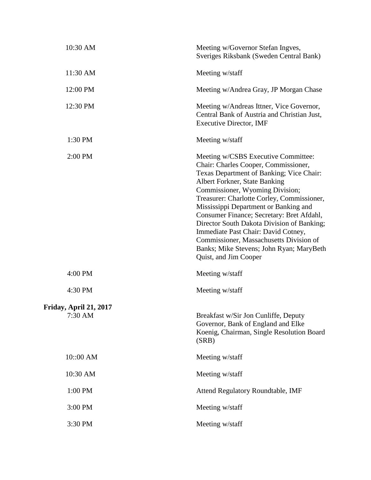| 10:30 AM                          | Meeting w/Governor Stefan Ingves,<br>Sveriges Riksbank (Sweden Central Bank)                                                                                                                                                                                                                                                                                                                                                                                                                                                         |
|-----------------------------------|--------------------------------------------------------------------------------------------------------------------------------------------------------------------------------------------------------------------------------------------------------------------------------------------------------------------------------------------------------------------------------------------------------------------------------------------------------------------------------------------------------------------------------------|
| 11:30 AM                          | Meeting w/staff                                                                                                                                                                                                                                                                                                                                                                                                                                                                                                                      |
| 12:00 PM                          | Meeting w/Andrea Gray, JP Morgan Chase                                                                                                                                                                                                                                                                                                                                                                                                                                                                                               |
| 12:30 PM                          | Meeting w/Andreas Ittner, Vice Governor,<br>Central Bank of Austria and Christian Just,<br><b>Executive Director, IMF</b>                                                                                                                                                                                                                                                                                                                                                                                                            |
| 1:30 PM                           | Meeting w/staff                                                                                                                                                                                                                                                                                                                                                                                                                                                                                                                      |
| 2:00 PM                           | Meeting w/CSBS Executive Committee:<br>Chair: Charles Cooper, Commissioner,<br>Texas Department of Banking; Vice Chair:<br>Albert Forkner, State Banking<br>Commissioner, Wyoming Division;<br>Treasurer: Charlotte Corley, Commissioner,<br>Mississippi Department or Banking and<br>Consumer Finance; Secretary: Bret Afdahl,<br>Director South Dakota Division of Banking;<br>Immediate Past Chair: David Cotney,<br>Commissioner, Massachusetts Division of<br>Banks; Mike Stevens; John Ryan; MaryBeth<br>Quist, and Jim Cooper |
| 4:00 PM                           | Meeting w/staff                                                                                                                                                                                                                                                                                                                                                                                                                                                                                                                      |
| 4:30 PM                           | Meeting w/staff                                                                                                                                                                                                                                                                                                                                                                                                                                                                                                                      |
| Friday, April 21, 2017<br>7:30 AM | Breakfast w/Sir Jon Cunliffe, Deputy<br>Governor, Bank of England and Elke<br>Koenig, Chairman, Single Resolution Board<br>(SRB)                                                                                                                                                                                                                                                                                                                                                                                                     |
| 10::00 AM                         | Meeting w/staff                                                                                                                                                                                                                                                                                                                                                                                                                                                                                                                      |
| 10:30 AM                          | Meeting w/staff                                                                                                                                                                                                                                                                                                                                                                                                                                                                                                                      |
| 1:00 PM                           | Attend Regulatory Roundtable, IMF                                                                                                                                                                                                                                                                                                                                                                                                                                                                                                    |
| 3:00 PM                           | Meeting w/staff                                                                                                                                                                                                                                                                                                                                                                                                                                                                                                                      |
| 3:30 PM                           | Meeting w/staff                                                                                                                                                                                                                                                                                                                                                                                                                                                                                                                      |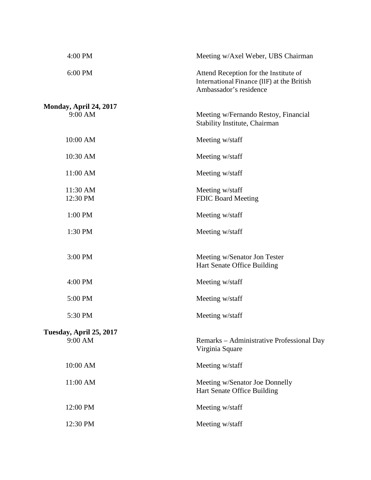| 4:00 PM                 | Meeting w/Axel Weber, UBS Chairman                                                                            |
|-------------------------|---------------------------------------------------------------------------------------------------------------|
| 6:00 PM                 | Attend Reception for the Institute of<br>International Finance (IIF) at the British<br>Ambassador's residence |
| Monday, April 24, 2017  |                                                                                                               |
| 9:00 AM                 | Meeting w/Fernando Restoy, Financial<br>Stability Institute, Chairman                                         |
| 10:00 AM                | Meeting w/staff                                                                                               |
| 10:30 AM                | Meeting w/staff                                                                                               |
| 11:00 AM                | Meeting w/staff                                                                                               |
| 11:30 AM                | Meeting w/staff                                                                                               |
| 12:30 PM                | <b>FDIC Board Meeting</b>                                                                                     |
| 1:00 PM                 | Meeting w/staff                                                                                               |
| 1:30 PM                 | Meeting w/staff                                                                                               |
|                         |                                                                                                               |
| 3:00 PM                 | Meeting w/Senator Jon Tester                                                                                  |
|                         | Hart Senate Office Building                                                                                   |
| 4:00 PM                 | Meeting w/staff                                                                                               |
| 5:00 PM                 | Meeting w/staff                                                                                               |
| 5:30 PM                 | Meeting w/staff                                                                                               |
| Tuesday, April 25, 2017 |                                                                                                               |
| 9:00 AM                 | Remarks – Administrative Professional Day<br>Virginia Square                                                  |
| 10:00 AM                | Meeting w/staff                                                                                               |
| 11:00 AM                | Meeting w/Senator Joe Donnelly<br>Hart Senate Office Building                                                 |
| 12:00 PM                | Meeting w/staff                                                                                               |
| 12:30 PM                | Meeting w/staff                                                                                               |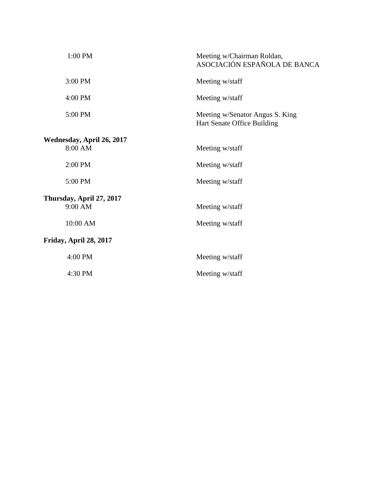| 1:00 PM                              | Meeting w/Chairman Roldan,<br>ASOCIACIÓN ESPAÑOLA DE BANCA     |
|--------------------------------------|----------------------------------------------------------------|
| 3:00 PM                              | Meeting w/staff                                                |
| 4:00 PM                              | Meeting w/staff                                                |
| 5:00 PM                              | Meeting w/Senator Angus S. King<br>Hart Senate Office Building |
| Wednesday, April 26, 2017<br>8:00 AM | Meeting w/staff                                                |
| 2:00 PM                              | Meeting w/staff                                                |
| 5:00 PM                              | Meeting w/staff                                                |
| Thursday, April 27, 2017<br>9:00 AM  | Meeting w/staff                                                |
| 10:00 AM                             | Meeting w/staff                                                |
| Friday, April 28, 2017               |                                                                |
| 4:00 PM                              | Meeting w/staff                                                |
| 4:30 PM                              | Meeting w/staff                                                |
|                                      |                                                                |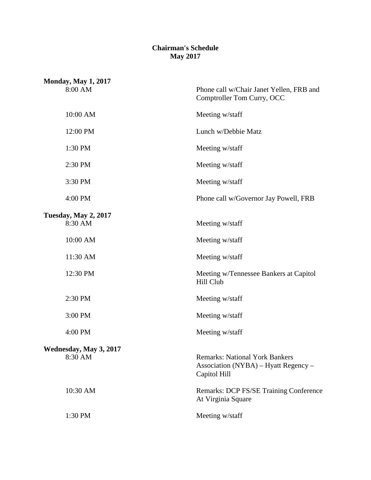#### **Chairman's Schedule May 2017**

| <b>Monday, May 1, 2017</b><br>8:00 AM  | Phone call w/Chair Janet Yellen, FRB and<br>Comptroller Tom Curry, OCC                        |
|----------------------------------------|-----------------------------------------------------------------------------------------------|
| 10:00 AM                               | Meeting w/staff                                                                               |
| 12:00 PM                               | Lunch w/Debbie Matz                                                                           |
| 1:30 PM                                | Meeting w/staff                                                                               |
| 2:30 PM                                | Meeting w/staff                                                                               |
| 3:30 PM                                | Meeting w/staff                                                                               |
| 4:00 PM                                | Phone call w/Governor Jay Powell, FRB                                                         |
| <b>Tuesday, May 2, 2017</b><br>8:30 AM | Meeting w/staff                                                                               |
| 10:00 AM                               | Meeting w/staff                                                                               |
| 11:30 AM                               | Meeting w/staff                                                                               |
| 12:30 PM                               | Meeting w/Tennessee Bankers at Capitol<br>Hill Club                                           |
| 2:30 PM                                | Meeting w/staff                                                                               |
| 3:00 PM                                | Meeting w/staff                                                                               |
| 4:00 PM                                | Meeting w/staff                                                                               |
| Wednesday, May 3, 2017                 |                                                                                               |
| 8:30 AM                                | <b>Remarks: National York Bankers</b><br>Association (NYBA) – Hyatt Regency –<br>Capitol Hill |
| 10:30 AM                               | <b>Remarks: DCP FS/SE Training Conference</b><br>At Virginia Square                           |
| 1:30 PM                                | Meeting w/staff                                                                               |
|                                        |                                                                                               |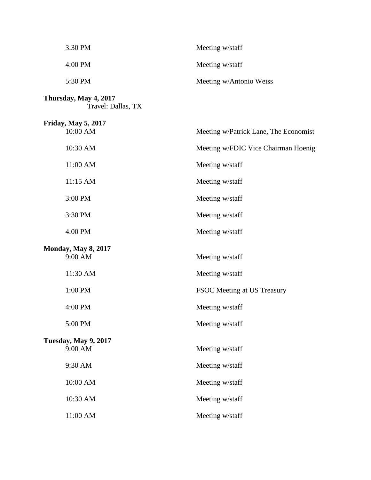| 3:30 PM                                     | Meeting w/staff                       |
|---------------------------------------------|---------------------------------------|
| 4:00 PM                                     | Meeting w/staff                       |
| 5:30 PM                                     | Meeting w/Antonio Weiss               |
| Thursday, May 4, 2017<br>Travel: Dallas, TX |                                       |
| <b>Friday, May 5, 2017</b><br>10:00 AM      | Meeting w/Patrick Lane, The Economist |
| 10:30 AM                                    | Meeting w/FDIC Vice Chairman Hoenig   |
|                                             |                                       |
| 11:00 AM                                    | Meeting w/staff                       |
| 11:15 AM                                    | Meeting w/staff                       |
| 3:00 PM                                     | Meeting w/staff                       |
| 3:30 PM                                     | Meeting w/staff                       |
| 4:00 PM                                     | Meeting w/staff                       |
| <b>Monday, May 8, 2017</b><br>9:00 AM       | Meeting w/staff                       |
| 11:30 AM                                    | Meeting w/staff                       |
| 1:00 PM                                     | FSOC Meeting at US Treasury           |
| 4:00 PM                                     | Meeting w/staff                       |
| 5:00 PM                                     | Meeting w/staff                       |
| <b>Tuesday, May 9, 2017</b>                 |                                       |
| 9:00 AM                                     | Meeting w/staff                       |
| 9:30 AM                                     | Meeting w/staff                       |
| 10:00 AM                                    | Meeting w/staff                       |
| 10:30 AM                                    | Meeting w/staff                       |
| 11:00 AM                                    | Meeting w/staff                       |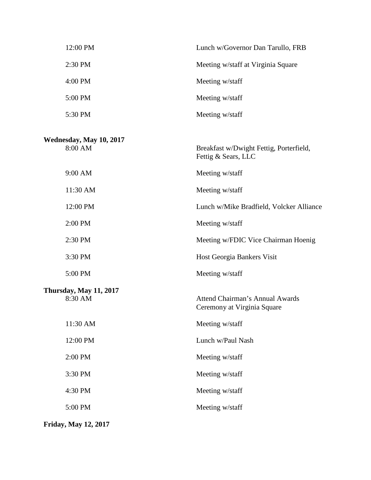| 12:00 PM                                 | Lunch w/Governor Dan Tarullo, FRB                                     |
|------------------------------------------|-----------------------------------------------------------------------|
| 2:30 PM                                  | Meeting w/staff at Virginia Square                                    |
| 4:00 PM                                  | Meeting w/staff                                                       |
| 5:00 PM                                  | Meeting w/staff                                                       |
| 5:30 PM                                  | Meeting w/staff                                                       |
| Wednesday, May 10, 2017<br>8:00 AM       | Breakfast w/Dwight Fettig, Porterfield,<br>Fettig & Sears, LLC        |
| 9:00 AM                                  | Meeting w/staff                                                       |
| 11:30 AM                                 | Meeting w/staff                                                       |
| 12:00 PM                                 | Lunch w/Mike Bradfield, Volcker Alliance                              |
| 2:00 PM                                  | Meeting w/staff                                                       |
| 2:30 PM                                  | Meeting w/FDIC Vice Chairman Hoenig                                   |
| 3:30 PM                                  | Host Georgia Bankers Visit                                            |
| 5:00 PM                                  | Meeting w/staff                                                       |
| <b>Thursday, May 11, 2017</b><br>8:30 AM | <b>Attend Chairman's Annual Awards</b><br>Ceremony at Virginia Square |
| 11:30 AM                                 | Meeting w/staff                                                       |
| 12:00 PM                                 | Lunch w/Paul Nash                                                     |
| 2:00 PM                                  | Meeting w/staff                                                       |
| 3:30 PM                                  | Meeting w/staff                                                       |
| 4:30 PM                                  | Meeting w/staff                                                       |
| 5:00 PM                                  | Meeting w/staff                                                       |
|                                          |                                                                       |

**Friday, May 12, 2017**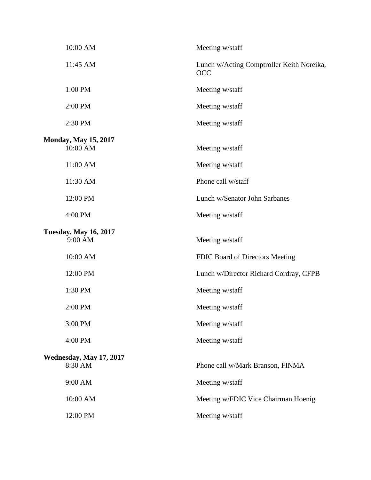| 10:00 AM                                | Meeting w/staff                                         |  |
|-----------------------------------------|---------------------------------------------------------|--|
| 11:45 AM                                | Lunch w/Acting Comptroller Keith Noreika,<br><b>OCC</b> |  |
| 1:00 PM                                 | Meeting w/staff                                         |  |
| 2:00 PM                                 | Meeting w/staff                                         |  |
| 2:30 PM                                 | Meeting w/staff                                         |  |
| <b>Monday, May 15, 2017</b><br>10:00 AM | Meeting w/staff                                         |  |
| 11:00 AM                                | Meeting w/staff                                         |  |
| 11:30 AM                                | Phone call w/staff                                      |  |
| 12:00 PM                                | Lunch w/Senator John Sarbanes                           |  |
| 4:00 PM                                 | Meeting w/staff                                         |  |
| <b>Tuesday, May 16, 2017</b><br>9:00 AM | Meeting w/staff                                         |  |
| 10:00 AM                                | FDIC Board of Directors Meeting                         |  |
| 12:00 PM                                | Lunch w/Director Richard Cordray, CFPB                  |  |
| 1:30 PM                                 | Meeting w/staff                                         |  |
| 2:00 PM                                 | Meeting w/staff                                         |  |
| 3:00 PM                                 | Meeting w/staff                                         |  |
| 4:00 PM                                 | Meeting w/staff                                         |  |
| Wednesday, May 17, 2017<br>8:30 AM      | Phone call w/Mark Branson, FINMA                        |  |
| 9:00 AM                                 | Meeting w/staff                                         |  |
| 10:00 AM                                | Meeting w/FDIC Vice Chairman Hoenig                     |  |
| 12:00 PM                                | Meeting w/staff                                         |  |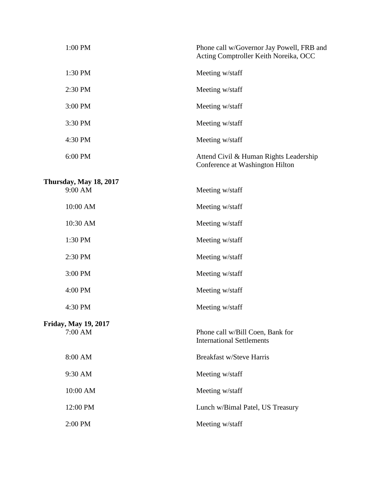| 1:00 PM                                | Phone call w/Governor Jay Powell, FRB and<br>Acting Comptroller Keith Noreika, OCC |
|----------------------------------------|------------------------------------------------------------------------------------|
| 1:30 PM                                | Meeting w/staff                                                                    |
| 2:30 PM                                | Meeting w/staff                                                                    |
| 3:00 PM                                | Meeting w/staff                                                                    |
| 3:30 PM                                | Meeting w/staff                                                                    |
| 4:30 PM                                | Meeting w/staff                                                                    |
| 6:00 PM                                | Attend Civil & Human Rights Leadership<br>Conference at Washington Hilton          |
| Thursday, May 18, 2017                 |                                                                                    |
| 9:00 AM                                | Meeting w/staff                                                                    |
| 10:00 AM                               | Meeting w/staff                                                                    |
| 10:30 AM                               | Meeting w/staff                                                                    |
| 1:30 PM                                | Meeting w/staff                                                                    |
| 2:30 PM                                | Meeting w/staff                                                                    |
| 3:00 PM                                | Meeting w/staff                                                                    |
| 4:00 PM                                | Meeting w/staff                                                                    |
| 4:30 PM                                | Meeting w/staff                                                                    |
| <b>Friday, May 19, 2017</b><br>7:00 AM | Phone call w/Bill Coen, Bank for<br><b>International Settlements</b>               |
| 8:00 AM                                | <b>Breakfast w/Steve Harris</b>                                                    |
| 9:30 AM                                | Meeting w/staff                                                                    |
| 10:00 AM                               | Meeting w/staff                                                                    |
| 12:00 PM                               | Lunch w/Bimal Patel, US Treasury                                                   |
| 2:00 PM                                | Meeting w/staff                                                                    |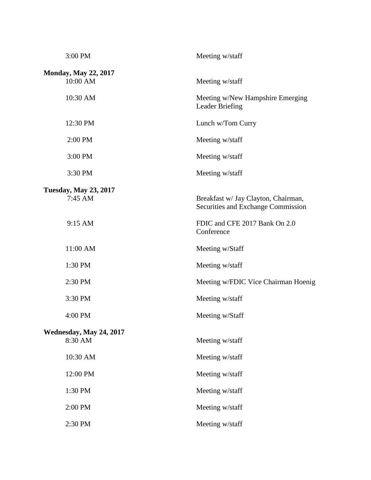| 3:00 PM                                   | Meeting w/staff                                                           |
|-------------------------------------------|---------------------------------------------------------------------------|
| <b>Monday, May 22, 2017</b><br>10:00 AM   | Meeting w/staff                                                           |
| 10:30 AM                                  | Meeting w/New Hampshire Emerging<br><b>Leader Briefing</b>                |
| 12:30 PM                                  | Lunch w/Tom Curry                                                         |
| 2:00 PM                                   | Meeting w/staff                                                           |
| 3:00 PM                                   | Meeting w/staff                                                           |
| 3:30 PM                                   | Meeting w/staff                                                           |
|                                           |                                                                           |
| <b>Tuesday, May 23, 2017</b><br>$7:45$ AM | Breakfast w/ Jay Clayton, Chairman,<br>Securities and Exchange Commission |
| 9:15 AM                                   | FDIC and CFE 2017 Bank On 2.0<br>Conference                               |
| 11:00 AM                                  | Meeting w/Staff                                                           |
| 1:30 PM                                   | Meeting w/staff                                                           |
| 2:30 PM                                   | Meeting w/FDIC Vice Chairman Hoenig                                       |
| 3:30 PM                                   | Meeting w/staff                                                           |
| 4:00 PM                                   | Meeting w/Staff                                                           |
| Wednesday, May 24, 2017                   |                                                                           |
| 8:30 AM                                   | Meeting w/staff                                                           |
| 10:30 AM                                  | Meeting w/staff                                                           |
| 12:00 PM                                  | Meeting w/staff                                                           |
| 1:30 PM                                   | Meeting w/staff                                                           |
| 2:00 PM                                   | Meeting w/staff                                                           |
| 2:30 PM                                   | Meeting w/staff                                                           |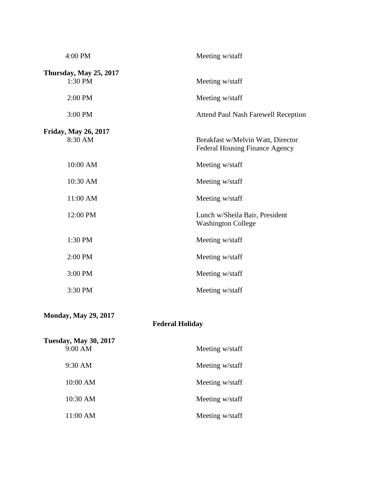| 4:00 PM                                  | Meeting w/staff                                                            |
|------------------------------------------|----------------------------------------------------------------------------|
| <b>Thursday, May 25, 2017</b><br>1:30 PM | Meeting w/staff                                                            |
|                                          |                                                                            |
| 2:00 PM                                  | Meeting w/staff                                                            |
| 3:00 PM                                  | <b>Attend Paul Nash Farewell Reception</b>                                 |
| <b>Friday, May 26, 2017</b>              |                                                                            |
| 8:30 AM                                  | Breakfast w/Melvin Watt, Director<br><b>Federal Housing Finance Agency</b> |
| 10:00 AM                                 | Meeting w/staff                                                            |
| 10:30 AM                                 | Meeting w/staff                                                            |
| 11:00 AM                                 | Meeting w/staff                                                            |
| 12:00 PM                                 | Lunch w/Sheila Bair, President<br><b>Washington College</b>                |
| 1:30 PM                                  | Meeting w/staff                                                            |
| 2:00 PM                                  | Meeting w/staff                                                            |
| 3:00 PM                                  | Meeting w/staff                                                            |
| 3:30 PM                                  | Meeting w/staff                                                            |
| <b>Monday, May 29, 2017</b>              |                                                                            |

## **Federal Holiday**

| <b>Tuesday, May 30, 2017</b> |                 |  |
|------------------------------|-----------------|--|
| 9:00 AM                      | Meeting w/staff |  |
| $9:30 \text{ AM}$            | Meeting w/staff |  |
| 10:00 AM                     | Meeting w/staff |  |
| 10:30 AM                     | Meeting w/staff |  |
| 11:00 AM                     | Meeting w/staff |  |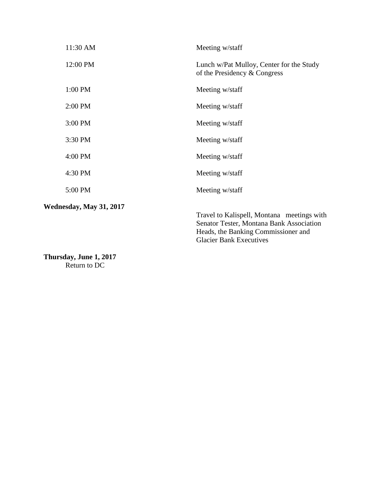| 11:30 AM                | Meeting w/staff                                                                                                                                                 |
|-------------------------|-----------------------------------------------------------------------------------------------------------------------------------------------------------------|
| 12:00 PM                | Lunch w/Pat Mulloy, Center for the Study<br>of the Presidency & Congress                                                                                        |
| 1:00 PM                 | Meeting w/staff                                                                                                                                                 |
| 2:00 PM                 | Meeting w/staff                                                                                                                                                 |
| 3:00 PM                 | Meeting w/staff                                                                                                                                                 |
| 3:30 PM                 | Meeting w/staff                                                                                                                                                 |
| 4:00 PM                 | Meeting w/staff                                                                                                                                                 |
| 4:30 PM                 | Meeting w/staff                                                                                                                                                 |
| 5:00 PM                 | Meeting w/staff                                                                                                                                                 |
| Wednesday, May 31, 2017 | Travel to Kalispell, Montana meetings with<br>Senator Tester, Montana Bank Association<br>Heads, the Banking Commissioner and<br><b>Glacier Bank Executives</b> |

**Thursday, June 1, 2017** Return to DC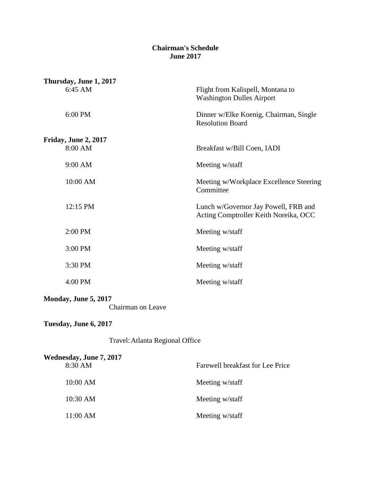#### **Chairman's Schedule June 2017**

| Thursday, June 1, 2017                    |                                                                               |
|-------------------------------------------|-------------------------------------------------------------------------------|
| 6:45 AM                                   | Flight from Kalispell, Montana to<br><b>Washington Dulles Airport</b>         |
| 6:00 PM                                   | Dinner w/Elke Koenig, Chairman, Single<br><b>Resolution Board</b>             |
| Friday, June 2, 2017                      |                                                                               |
| 8:00 AM                                   | Breakfast w/Bill Coen, IADI                                                   |
| 9:00 AM                                   | Meeting w/staff                                                               |
| 10:00 AM                                  | Meeting w/Workplace Excellence Steering<br>Committee                          |
| 12:15 PM                                  | Lunch w/Governor Jay Powell, FRB and<br>Acting Comptroller Keith Noreika, OCC |
| 2:00 PM                                   | Meeting w/staff                                                               |
| 3:00 PM                                   | Meeting w/staff                                                               |
| 3:30 PM                                   | Meeting w/staff                                                               |
| 4:00 PM                                   | Meeting w/staff                                                               |
| Monday, June 5, 2017<br>Chairman on Leave |                                                                               |
| Tuesday, June 6, 2017                     |                                                                               |
| Travel: Atlanta Regional Office           |                                                                               |
| Wednesday, June 7, 2017                   |                                                                               |
| 8:30 AM                                   | Farewell breakfast for Lee Price                                              |
| 10:00 AM                                  | Meeting w/staff                                                               |
| 10:30 AM                                  | Meeting w/staff                                                               |

11:00 AM Meeting w/staff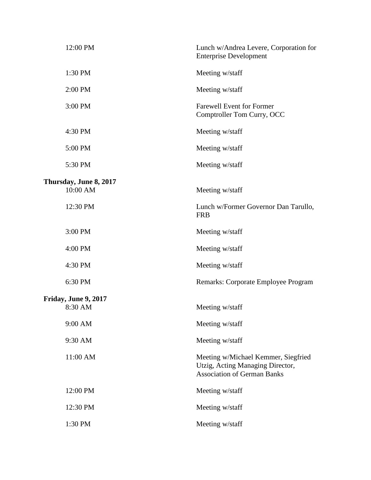| 12:00 PM                                  | Lunch w/Andrea Levere, Corporation for<br><b>Enterprise Development</b>                                       |
|-------------------------------------------|---------------------------------------------------------------------------------------------------------------|
| 1:30 PM                                   | Meeting w/staff                                                                                               |
| 2:00 PM                                   | Meeting w/staff                                                                                               |
| 3:00 PM                                   | <b>Farewell Event for Former</b><br>Comptroller Tom Curry, OCC                                                |
| 4:30 PM                                   | Meeting w/staff                                                                                               |
| 5:00 PM                                   | Meeting w/staff                                                                                               |
| 5:30 PM                                   | Meeting w/staff                                                                                               |
| <b>Thursday, June 8, 2017</b><br>10:00 AM | Meeting w/staff                                                                                               |
| 12:30 PM                                  | Lunch w/Former Governor Dan Tarullo,<br><b>FRB</b>                                                            |
| 3:00 PM                                   | Meeting w/staff                                                                                               |
| 4:00 PM                                   | Meeting w/staff                                                                                               |
| 4:30 PM                                   | Meeting w/staff                                                                                               |
| 6:30 PM                                   | Remarks: Corporate Employee Program                                                                           |
| <b>Friday, June 9, 2017</b><br>8:30 AM    | Meeting w/staff                                                                                               |
| 9:00 AM                                   | Meeting w/staff                                                                                               |
| 9:30 AM                                   | Meeting w/staff                                                                                               |
| 11:00 AM                                  | Meeting w/Michael Kemmer, Siegfried<br>Utzig, Acting Managing Director,<br><b>Association of German Banks</b> |
| 12:00 PM                                  | Meeting w/staff                                                                                               |
| 12:30 PM                                  | Meeting w/staff                                                                                               |
| 1:30 PM                                   | Meeting w/staff                                                                                               |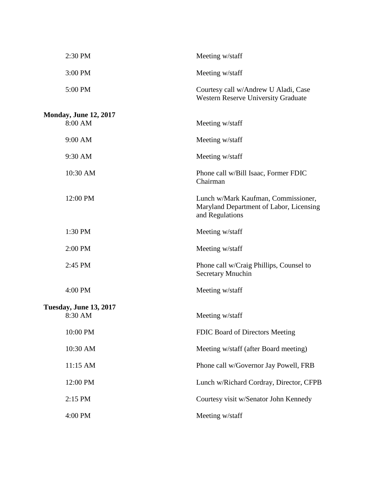| 2:30 PM                                  | Meeting w/staff                                                                                   |
|------------------------------------------|---------------------------------------------------------------------------------------------------|
| 3:00 PM                                  | Meeting w/staff                                                                                   |
| 5:00 PM                                  | Courtesy call w/Andrew U Aladi, Case<br><b>Western Reserve University Graduate</b>                |
| <b>Monday, June 12, 2017</b><br>8:00 AM  | Meeting w/staff                                                                                   |
| 9:00 AM                                  | Meeting w/staff                                                                                   |
| 9:30 AM                                  | Meeting w/staff                                                                                   |
| 10:30 AM                                 | Phone call w/Bill Isaac, Former FDIC<br>Chairman                                                  |
| 12:00 PM                                 | Lunch w/Mark Kaufman, Commissioner,<br>Maryland Department of Labor, Licensing<br>and Regulations |
| 1:30 PM                                  | Meeting w/staff                                                                                   |
| 2:00 PM                                  | Meeting w/staff                                                                                   |
| 2:45 PM                                  | Phone call w/Craig Phillips, Counsel to<br><b>Secretary Mnuchin</b>                               |
| 4:00 PM                                  | Meeting w/staff                                                                                   |
| <b>Tuesday, June 13, 2017</b><br>8:30 AM | Meeting w/staff                                                                                   |
| 10:00 PM                                 | FDIC Board of Directors Meeting                                                                   |
| 10:30 AM                                 | Meeting w/staff (after Board meeting)                                                             |
| 11:15 AM                                 | Phone call w/Governor Jay Powell, FRB                                                             |
| 12:00 PM                                 | Lunch w/Richard Cordray, Director, CFPB                                                           |
| 2:15 PM                                  | Courtesy visit w/Senator John Kennedy                                                             |
| 4:00 PM                                  | Meeting w/staff                                                                                   |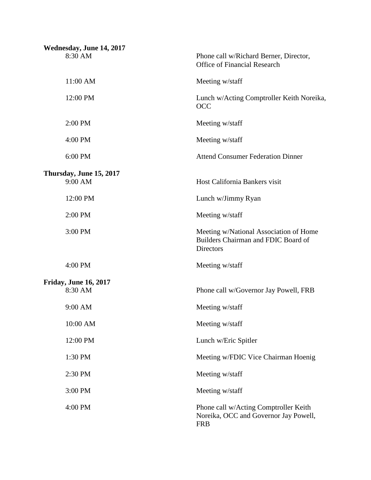| Wednesday, June 14, 2017     |                                                                                                   |
|------------------------------|---------------------------------------------------------------------------------------------------|
| 8:30 AM                      | Phone call w/Richard Berner, Director,<br><b>Office of Financial Research</b>                     |
| 11:00 AM                     | Meeting w/staff                                                                                   |
| 12:00 PM                     | Lunch w/Acting Comptroller Keith Noreika,<br><b>OCC</b>                                           |
| 2:00 PM                      | Meeting w/staff                                                                                   |
| 4:00 PM                      | Meeting w/staff                                                                                   |
| 6:00 PM                      | <b>Attend Consumer Federation Dinner</b>                                                          |
| Thursday, June 15, 2017      |                                                                                                   |
| 9:00 AM                      | Host California Bankers visit                                                                     |
| 12:00 PM                     | Lunch w/Jimmy Ryan                                                                                |
| 2:00 PM                      | Meeting w/staff                                                                                   |
| 3:00 PM                      | Meeting w/National Association of Home<br>Builders Chairman and FDIC Board of<br><b>Directors</b> |
| 4:00 PM                      | Meeting w/staff                                                                                   |
| <b>Friday, June 16, 2017</b> |                                                                                                   |
| 8:30 AM                      | Phone call w/Governor Jay Powell, FRB                                                             |
| 9:00 AM                      | Meeting w/staff                                                                                   |
| 10:00 AM                     | Meeting w/staff                                                                                   |
| 12:00 PM                     | Lunch w/Eric Spitler                                                                              |
| 1:30 PM                      | Meeting w/FDIC Vice Chairman Hoenig                                                               |
| 2:30 PM                      | Meeting w/staff                                                                                   |
| 3:00 PM                      | Meeting w/staff                                                                                   |
| 4:00 PM                      | Phone call w/Acting Comptroller Keith<br>Noreika, OCC and Governor Jay Powell,<br><b>FRB</b>      |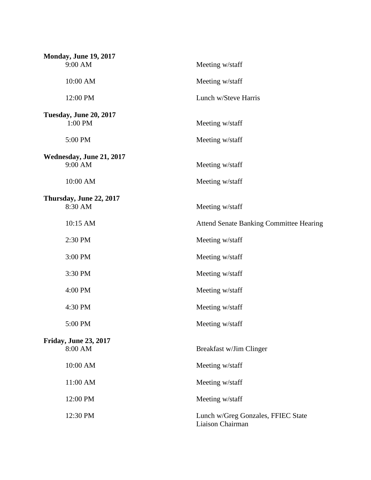| <b>Monday, June 19, 2017</b>  |                                                        |  |
|-------------------------------|--------------------------------------------------------|--|
| 9:00 AM                       | Meeting w/staff                                        |  |
| 10:00 AM                      | Meeting w/staff                                        |  |
| 12:00 PM                      | Lunch w/Steve Harris                                   |  |
| <b>Tuesday, June 20, 2017</b> |                                                        |  |
| 1:00 PM                       | Meeting w/staff                                        |  |
| 5:00 PM                       | Meeting w/staff                                        |  |
| Wednesday, June 21, 2017      |                                                        |  |
| 9:00 AM                       | Meeting w/staff                                        |  |
| 10:00 AM                      | Meeting w/staff                                        |  |
| Thursday, June 22, 2017       |                                                        |  |
| 8:30 AM                       | Meeting w/staff                                        |  |
| 10:15 AM                      | <b>Attend Senate Banking Committee Hearing</b>         |  |
| 2:30 PM                       | Meeting w/staff                                        |  |
| 3:00 PM                       | Meeting w/staff                                        |  |
| 3:30 PM                       | Meeting w/staff                                        |  |
| 4:00 PM                       | Meeting w/staff                                        |  |
| 4:30 PM                       | Meeting w/staff                                        |  |
| 5:00 PM                       | Meeting w/staff                                        |  |
| Friday, June 23, 2017         |                                                        |  |
| 8:00 AM                       | Breakfast w/Jim Clinger                                |  |
| 10:00 AM                      | Meeting w/staff                                        |  |
| 11:00 AM                      | Meeting w/staff                                        |  |
| 12:00 PM                      | Meeting w/staff                                        |  |
| 12:30 PM                      | Lunch w/Greg Gonzales, FFIEC State<br>Liaison Chairman |  |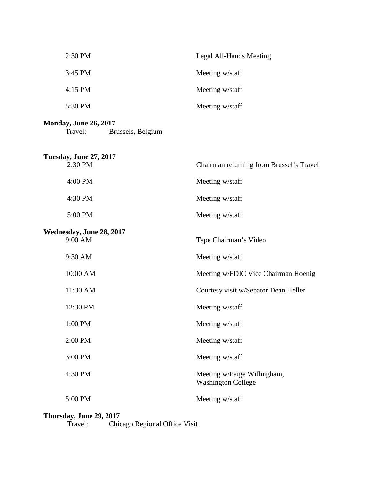| $2:30$ PM | Legal All-Hands Meeting |
|-----------|-------------------------|
| $3:45$ PM | Meeting w/staff         |
| $4:15$ PM | Meeting w/staff         |
| 5:30 PM   | Meeting w/staff         |
|           |                         |

## **Monday, June 26, 2017**<br>Travel: Bru Brussels, Belgium

| <b>Tuesday, June 27, 2017</b><br>2:30 PM | Chairman returning from Brussel's Travel                 |
|------------------------------------------|----------------------------------------------------------|
| 4:00 PM                                  | Meeting w/staff                                          |
| 4:30 PM                                  | Meeting w/staff                                          |
| 5:00 PM                                  | Meeting w/staff                                          |
| Wednesday, June 28, 2017<br>9:00 AM      | Tape Chairman's Video                                    |
| 9:30 AM                                  | Meeting w/staff                                          |
| 10:00 AM                                 | Meeting w/FDIC Vice Chairman Hoenig                      |
| 11:30 AM                                 | Courtesy visit w/Senator Dean Heller                     |
| 12:30 PM                                 | Meeting w/staff                                          |
| 1:00 PM                                  | Meeting w/staff                                          |
| 2:00 PM                                  | Meeting w/staff                                          |
| 3:00 PM                                  | Meeting w/staff                                          |
| 4:30 PM                                  | Meeting w/Paige Willingham,<br><b>Washington College</b> |
| 5:00 PM                                  | Meeting w/staff                                          |

# **Thursday, June 29, 2017**<br>Travel: Chic

Chicago Regional Office Visit